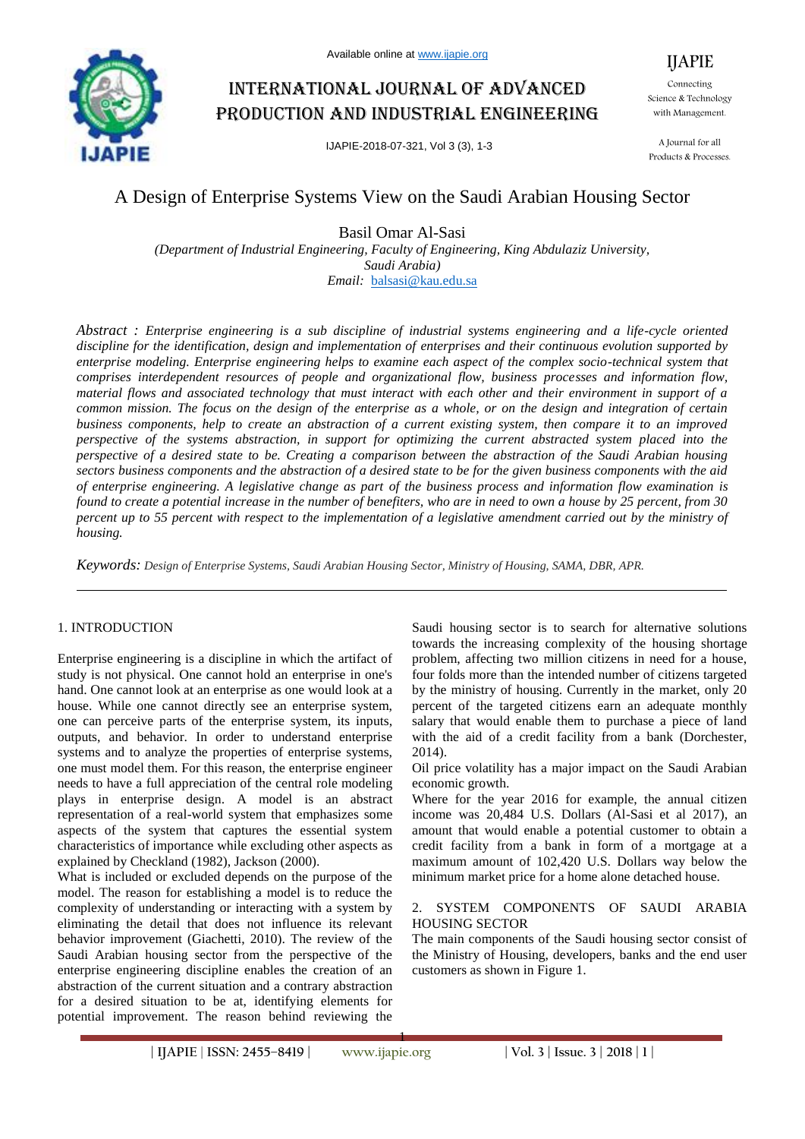

# International journal of advanced production and industrial engineering

IJAPIE-2018-07-321, Vol 3 (3), 1-3

IJAPIE Connecting Science & Technology with Management.

A Journal for all Products & Processes.

## A Design of Enterprise Systems View on the Saudi Arabian Housing Sector

Basil Omar Al-Sasi

*(Department of Industrial Engineering, Faculty of Engineering, King Abdulaziz University, Saudi Arabia) Email:* balsasi@kau.edu.sa

*Abstract : Enterprise engineering is a sub discipline of industrial systems engineering and a life-cycle oriented discipline for the identification, design and implementation of enterprises and their continuous evolution supported by enterprise modeling. Enterprise engineering helps to examine each aspect of the complex socio-technical system that comprises interdependent resources of people and organizational flow, business processes and information flow, material flows and associated technology that must interact with each other and their environment in support of a common mission. The focus on the design of the enterprise as a whole, or on the design and integration of certain business components, help to create an abstraction of a current existing system, then compare it to an improved perspective of the systems abstraction, in support for optimizing the current abstracted system placed into the perspective of a desired state to be. Creating a comparison between the abstraction of the Saudi Arabian housing sectors business components and the abstraction of a desired state to be for the given business components with the aid of enterprise engineering. A legislative change as part of the business process and information flow examination is found to create a potential increase in the number of benefiters, who are in need to own a house by 25 percent, from 30 percent up to 55 percent with respect to the implementation of a legislative amendment carried out by the ministry of housing.*

*Keywords: Design of Enterprise Systems, Saudi Arabian Housing Sector, Ministry of Housing, SAMA, DBR, APR.*

### 1. INTRODUCTION

Enterprise engineering is a discipline in which the artifact of study is not physical. One cannot hold an enterprise in one's hand. One cannot look at an enterprise as one would look at a house. While one cannot directly see an enterprise system, one can perceive parts of the enterprise system, its inputs, outputs, and behavior. In order to understand enterprise systems and to analyze the properties of enterprise systems, one must model them. For this reason, the enterprise engineer needs to have a full appreciation of the central role modeling plays in enterprise design. A model is an abstract representation of a real-world system that emphasizes some aspects of the system that captures the essential system characteristics of importance while excluding other aspects as explained by Checkland (1982), Jackson (2000).

What is included or excluded depends on the purpose of the model. The reason for establishing a model is to reduce the complexity of understanding or interacting with a system by eliminating the detail that does not influence its relevant behavior improvement (Giachetti, 2010). The review of the Saudi Arabian housing sector from the perspective of the enterprise engineering discipline enables the creation of an abstraction of the current situation and a contrary abstraction for a desired situation to be at, identifying elements for potential improvement. The reason behind reviewing the Saudi housing sector is to search for alternative solutions towards the increasing complexity of the housing shortage problem, affecting two million citizens in need for a house, four folds more than the intended number of citizens targeted by the ministry of housing. Currently in the market, only 20 percent of the targeted citizens earn an adequate monthly salary that would enable them to purchase a piece of land with the aid of a credit facility from a bank (Dorchester, 2014).

Oil price volatility has a major impact on the Saudi Arabian economic growth.

Where for the year 2016 for example, the annual citizen income was 20,484 U.S. Dollars (Al-Sasi et al 2017), an amount that would enable a potential customer to obtain a credit facility from a bank in form of a mortgage at a maximum amount of 102,420 U.S. Dollars way below the minimum market price for a home alone detached house.

#### 2. SYSTEM COMPONENTS OF SAUDI ARABIA HOUSING SECTOR

The main components of the Saudi housing sector consist of the Ministry of Housing, developers, banks and the end user customers as shown in Figure 1.

1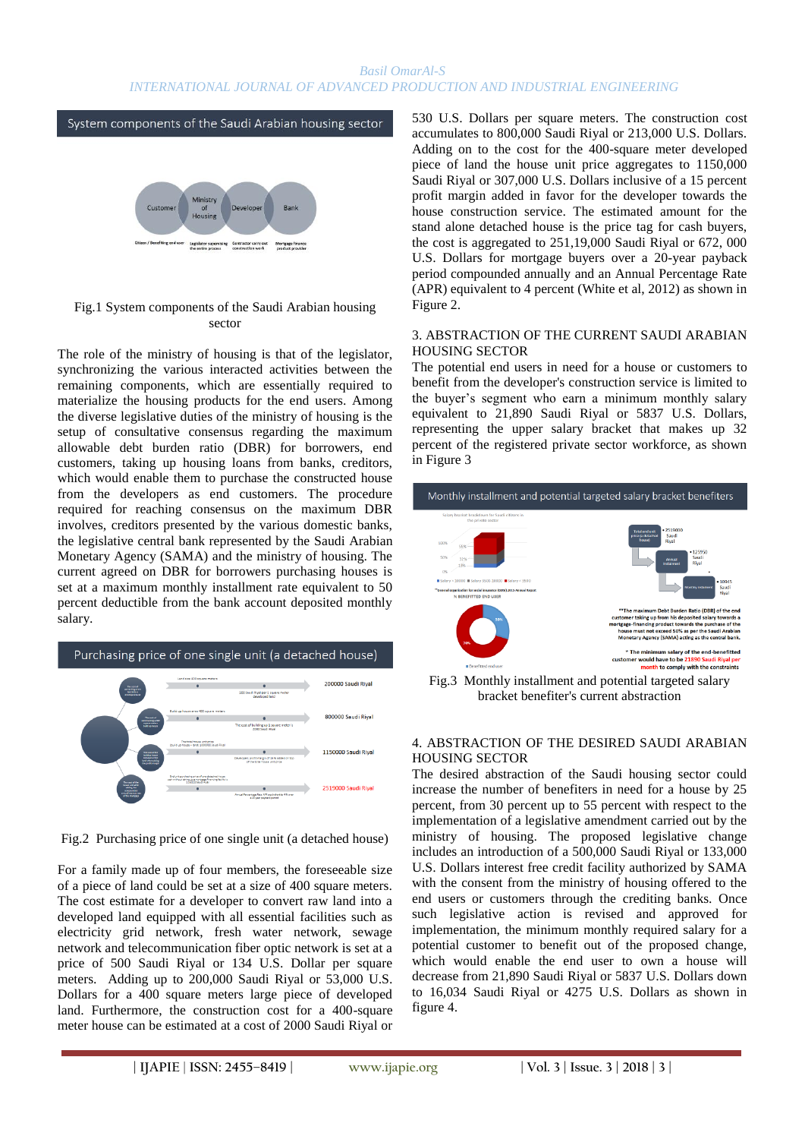#### *Basil OmarAl-S INTERNATIONAL JOURNAL OF ADVANCED PRODUCTION AND INDUSTRIAL ENGINEERING*

System components of the Saudi Arabian housing sector



#### Fig.1 System components of the Saudi Arabian housing sector

The role of the ministry of housing is that of the legislator, synchronizing the various interacted activities between the remaining components, which are essentially required to materialize the housing products for the end users. Among the diverse legislative duties of the ministry of housing is the setup of consultative consensus regarding the maximum allowable debt burden ratio (DBR) for borrowers, end customers, taking up housing loans from banks, creditors, which would enable them to purchase the constructed house from the developers as end customers. The procedure required for reaching consensus on the maximum DBR involves, creditors presented by the various domestic banks, the legislative central bank represented by the Saudi Arabian Monetary Agency (SAMA) and the ministry of housing. The current agreed on DBR for borrowers purchasing houses is set at a maximum monthly installment rate equivalent to 50 percent deductible from the bank account deposited monthly salary.



Fig.2 Purchasing price of one single unit (a detached house)

For a family made up of four members, the foreseeable size of a piece of land could be set at a size of 400 square meters. The cost estimate for a developer to convert raw land into a developed land equipped with all essential facilities such as electricity grid network, fresh water network, sewage network and telecommunication fiber optic network is set at a price of 500 Saudi Riyal or 134 U.S. Dollar per square meters. Adding up to 200,000 Saudi Riyal or 53,000 U.S. Dollars for a 400 square meters large piece of developed land. Furthermore, the construction cost for a 400-square meter house can be estimated at a cost of 2000 Saudi Riyal or 530 U.S. Dollars per square meters. The construction cost accumulates to 800,000 Saudi Riyal or 213,000 U.S. Dollars. Adding on to the cost for the 400-square meter developed piece of land the house unit price aggregates to 1150,000 Saudi Riyal or 307,000 U.S. Dollars inclusive of a 15 percent profit margin added in favor for the developer towards the house construction service. The estimated amount for the stand alone detached house is the price tag for cash buyers, the cost is aggregated to 251,19,000 Saudi Riyal or 672, 000 U.S. Dollars for mortgage buyers over a 20-year payback period compounded annually and an Annual Percentage Rate (APR) equivalent to 4 percent (White et al, 2012) as shown in Figure 2.

#### 3. ABSTRACTION OF THE CURRENT SAUDI ARABIAN HOUSING SECTOR

The potential end users in need for a house or customers to benefit from the developer's construction service is limited to the buyer's segment who earn a minimum monthly salary equivalent to 21,890 Saudi Riyal or 5837 U.S. Dollars, representing the upper salary bracket that makes up 32 percent of the registered private sector workforce, as shown in Figure 3



Fig.3 Monthly installment and potential targeted salary bracket benefiter's current abstraction

#### 4. ABSTRACTION OF THE DESIRED SAUDI ARABIAN HOUSING SECTOR

The desired abstraction of the Saudi housing sector could increase the number of benefiters in need for a house by 25 percent, from 30 percent up to 55 percent with respect to the implementation of a legislative amendment carried out by the ministry of housing. The proposed legislative change includes an introduction of a 500,000 Saudi Riyal or 133,000 U.S. Dollars interest free credit facility authorized by SAMA with the consent from the ministry of housing offered to the end users or customers through the crediting banks. Once such legislative action is revised and approved for implementation, the minimum monthly required salary for a potential customer to benefit out of the proposed change, which would enable the end user to own a house will decrease from 21,890 Saudi Riyal or 5837 U.S. Dollars down to 16,034 Saudi Riyal or 4275 U.S. Dollars as shown in figure 4.